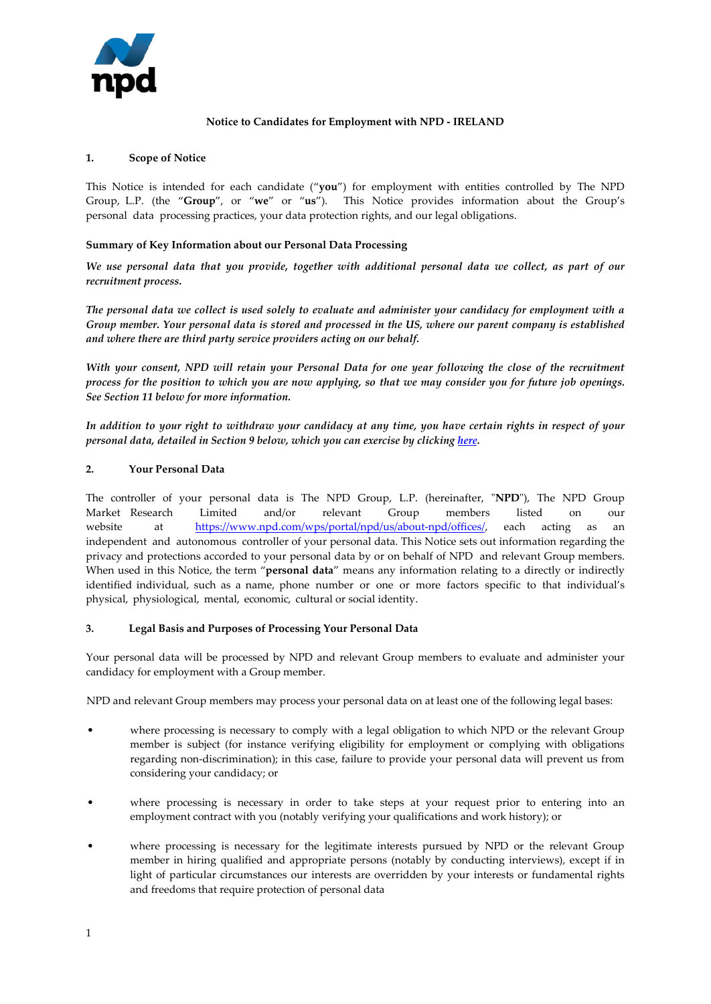

# **Notice to Candidates for Employment with NPD - IRELAND**

#### **1. Scope of Notice**

This Notice is intended for each candidate ("**you**") for employment with entities controlled by The NPD Group, L.P. (the "**Group**", or "**we**" or "**us**"). This Notice provides information about the Group's personal data processing practices, your data protection rights, and our legal obligations.

## **Summary of Key Information about our Personal Data Processing**

*We use personal data that you provide, together with additional personal data we collect, as part of our recruitment process.*

*The personal data we collect is used solely to evaluate and administer your candidacy for employment with a Group member. Your personal data is stored and processed in the US, where our parent company is established and where there are third party service providers acting on our behalf.* 

*With your consent, NPD will retain your Personal Data for one year following the close of the recruitment process for the position to which you are now applying, so that we may consider you for future job openings. See Section 11 below for more information.*

*In addition to your right to withdraw your candidacy at any time, you have certain rights in respect of your personal data, detailed in Section 9 below, which you can exercise by clicking [here.](https://app.onetrust.com/app/#/webform/d841c7fc-01d0-4a5b-a0b6-f94d8a5bf6eb)*

## **2. Your Personal Data**

The controller of your personal data is The NPD Group, L.P. (hereinafter, "**NPD**"), The NPD Group Market Research Limited and/or relevant Group members listed on our [website at https://www.npd.com/wps/portal/npd](https://www.npd.com/wps/portal/npd/us/about-npd/offices/)/us/about-npd/offices/, each acting as an independent and autonomous controller of your personal data. This Notice sets out information regarding the privacy and protections accorded to your personal data by or on behalf of NPD and relevant Group members. When used in this Notice, the term "**personal data**" means any information relating to a directly or indirectly identified individual, such as a name, phone number or one or more factors specific to that individual's physical, physiological, mental, economic, cultural or social identity.

#### **3. Legal Basis and Purposes of Processing Your Personal Data**

Your personal data will be processed by NPD and relevant Group members to evaluate and administer your candidacy for employment with a Group member.

NPD and relevant Group members may process your personal data on at least one of the following legal bases:

- where processing is necessary to comply with a legal obligation to which NPD or the relevant Group member is subject (for instance verifying eligibility for employment or complying with obligations regarding non-discrimination); in this case, failure to provide your personal data will prevent us from considering your candidacy; or
- where processing is necessary in order to take steps at your request prior to entering into an employment contract with you (notably verifying your qualifications and work history); or
- where processing is necessary for the legitimate interests pursued by NPD or the relevant Group member in hiring qualified and appropriate persons (notably by conducting interviews), except if in light of particular circumstances our interests are overridden by your interests or fundamental rights and freedoms that require protection of personal data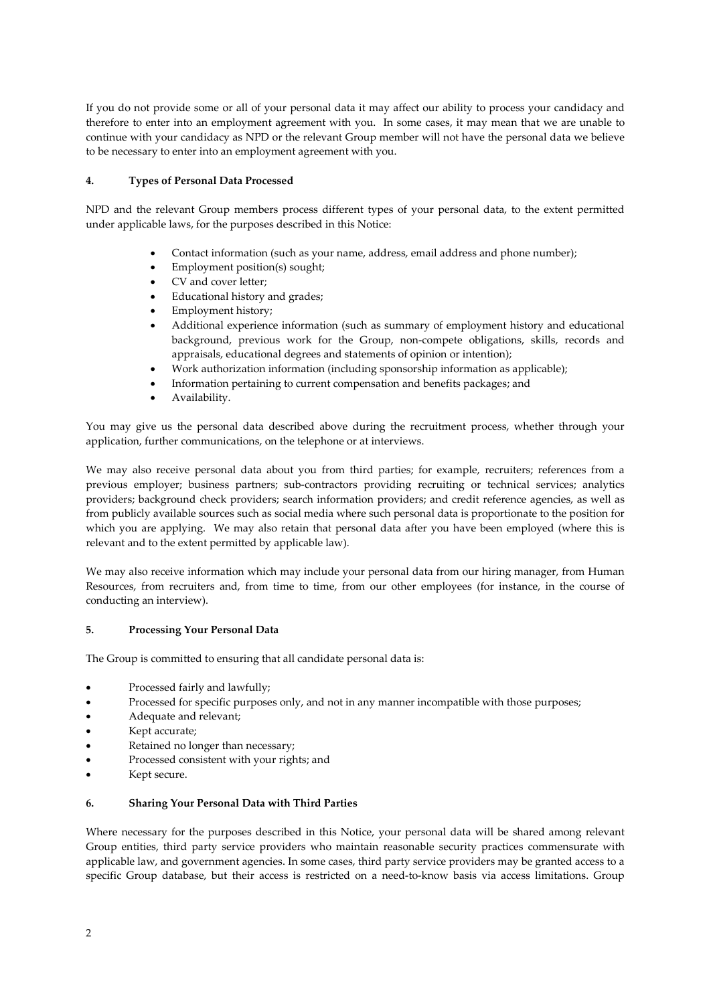If you do not provide some or all of your personal data it may affect our ability to process your candidacy and therefore to enter into an employment agreement with you. In some cases, it may mean that we are unable to continue with your candidacy as NPD or the relevant Group member will not have the personal data we believe to be necessary to enter into an employment agreement with you.

## **4. Types of Personal Data Processed**

NPD and the relevant Group members process different types of your personal data, to the extent permitted under applicable laws, for the purposes described in this Notice:

- Contact information (such as your name, address, email address and phone number);
- Employment position(s) sought;
- CV and cover letter;
- Educational history and grades;
- Employment history;
- Additional experience information (such as summary of employment history and educational background, previous work for the Group, non-compete obligations, skills, records and appraisals, educational degrees and statements of opinion or intention);
- Work authorization information (including sponsorship information as applicable);
- Information pertaining to current compensation and benefits packages; and
- Availability.

You may give us the personal data described above during the recruitment process, whether through your application, further communications, on the telephone or at interviews.

We may also receive personal data about you from third parties; for example, recruiters; references from a previous employer; business partners; sub-contractors providing recruiting or technical services; analytics providers; background check providers; search information providers; and credit reference agencies, as well as from publicly available sources such as social media where such personal data is proportionate to the position for which you are applying. We may also retain that personal data after you have been employed (where this is relevant and to the extent permitted by applicable law).

We may also receive information which may include your personal data from our hiring manager, from Human Resources, from recruiters and, from time to time, from our other employees (for instance, in the course of conducting an interview).

#### **5. Processing Your Personal Data**

The Group is committed to ensuring that all candidate personal data is:

- Processed fairly and lawfully;
- Processed for specific purposes only, and not in any manner incompatible with those purposes;
- Adequate and relevant;
- Kept accurate;
- Retained no longer than necessary;
- Processed consistent with your rights; and
- Kept secure.

#### **6. Sharing Your Personal Data with Third Parties**

Where necessary for the purposes described in this Notice, your personal data will be shared among relevant Group entities, third party service providers who maintain reasonable security practices commensurate with applicable law, and government agencies. In some cases, third party service providers may be granted access to a specific Group database, but their access is restricted on a need-to-know basis via access limitations. Group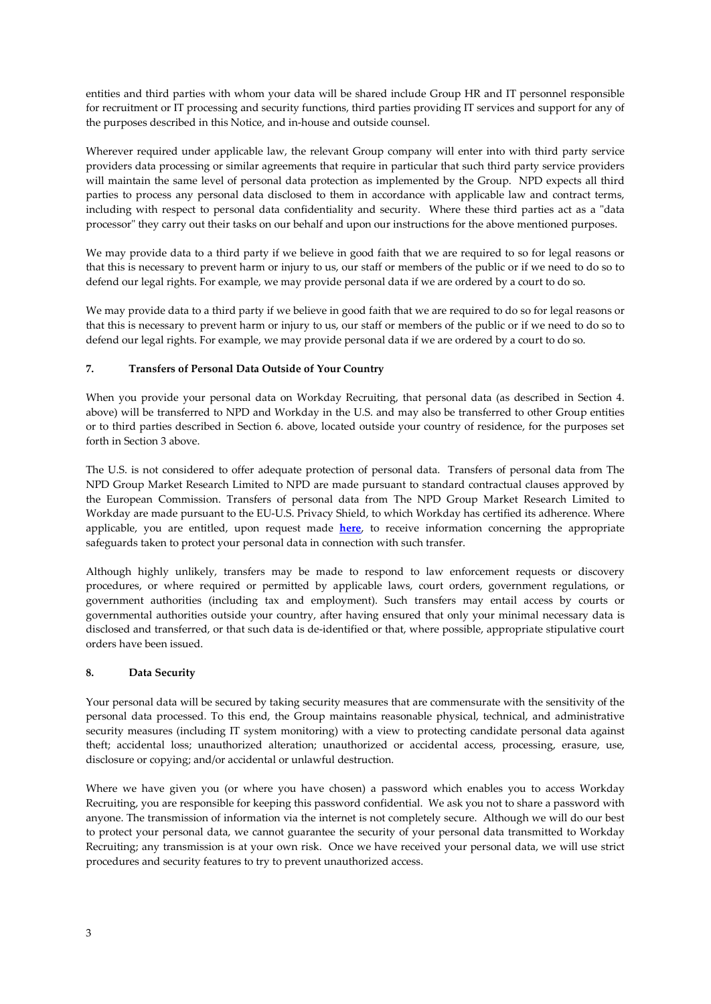entities and third parties with whom your data will be shared include Group HR and IT personnel responsible for recruitment or IT processing and security functions, third parties providing IT services and support for any of the purposes described in this Notice, and in-house and outside counsel.

Wherever required under applicable law, the relevant Group company will enter into with third party service providers data processing or similar agreements that require in particular that such third party service providers will maintain the same level of personal data protection as implemented by the Group. NPD expects all third parties to process any personal data disclosed to them in accordance with applicable law and contract terms, including with respect to personal data confidentiality and security. Where these third parties act as a "data processor" they carry out their tasks on our behalf and upon our instructions for the above mentioned purposes.

We may provide data to a third party if we believe in good faith that we are required to so for legal reasons or that this is necessary to prevent harm or injury to us, our staff or members of the public or if we need to do so to defend our legal rights. For example, we may provide personal data if we are ordered by a court to do so.

We may provide data to a third party if we believe in good faith that we are required to do so for legal reasons or that this is necessary to prevent harm or injury to us, our staff or members of the public or if we need to do so to defend our legal rights. For example, we may provide personal data if we are ordered by a court to do so.

## **7. Transfers of Personal Data Outside of Your Country**

When you provide your personal data on Workday Recruiting, that personal data (as described in Section 4. above) will be transferred to NPD and Workday in the U.S. and may also be transferred to other Group entities or to third parties described in Section 6. above, located outside your country of residence, for the purposes set forth in Section 3 above.

The U.S. is not considered to offer adequate protection of personal data. Transfers of personal data from The NPD Group Market Research Limited to NPD are made pursuant to standard contractual clauses approved by the European Commission. Transfers of personal data from The NPD Group Market Research Limited to Workday are made pursuant to the EU-U.S. Privacy Shield, to which Workday has certified its adherence. Where applicable, you are entitled, upon request made **[here](https://app.onetrust.com/app/#/webform/d841c7fc-01d0-4a5b-a0b6-f94d8a5bf6eb)**, to receive information concerning the appropriate safeguards taken to protect your personal data in connection with such transfer.

Although highly unlikely, transfers may be made to respond to law enforcement requests or discovery procedures, or where required or permitted by applicable laws, court orders, government regulations, or government authorities (including tax and employment). Such transfers may entail access by courts or governmental authorities outside your country, after having ensured that only your minimal necessary data is disclosed and transferred, or that such data is de-identified or that, where possible, appropriate stipulative court orders have been issued.

#### **8. Data Security**

Your personal data will be secured by taking security measures that are commensurate with the sensitivity of the personal data processed. To this end, the Group maintains reasonable physical, technical, and administrative security measures (including IT system monitoring) with a view to protecting candidate personal data against theft; accidental loss; unauthorized alteration; unauthorized or accidental access, processing, erasure, use, disclosure or copying; and/or accidental or unlawful destruction.

Where we have given you (or where you have chosen) a password which enables you to access Workday Recruiting, you are responsible for keeping this password confidential. We ask you not to share a password with anyone. The transmission of information via the internet is not completely secure. Although we will do our best to protect your personal data, we cannot guarantee the security of your personal data transmitted to Workday Recruiting; any transmission is at your own risk. Once we have received your personal data, we will use strict procedures and security features to try to prevent unauthorized access.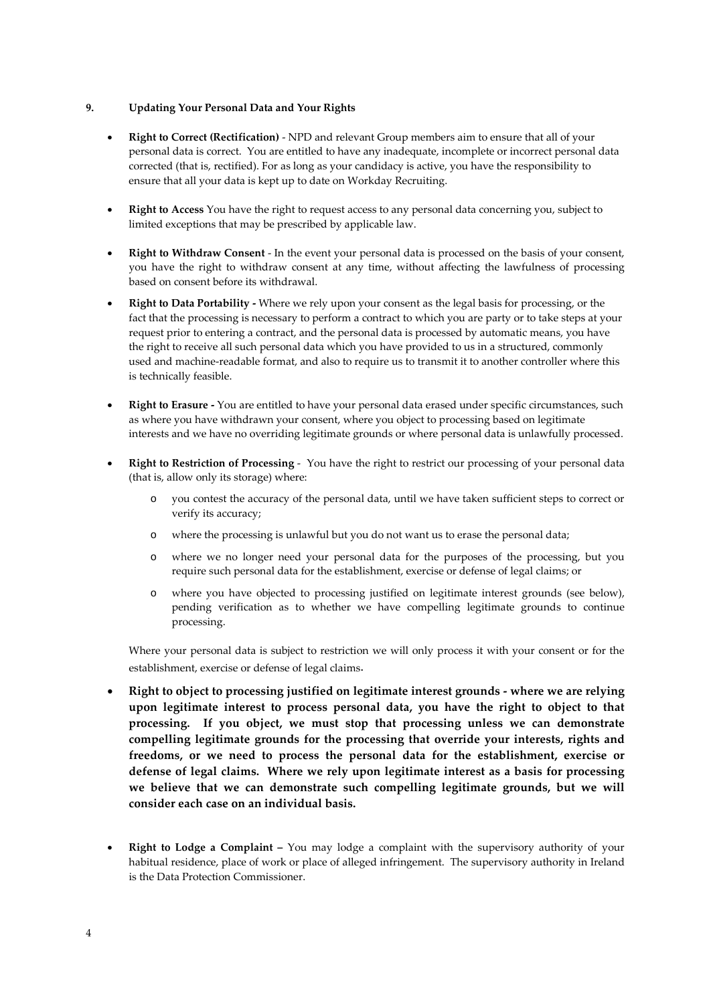#### **9. Updating Your Personal Data and Your Rights**

- **Right to Correct (Rectification)** NPD and relevant Group members aim to ensure that all of your personal data is correct. You are entitled to have any inadequate, incomplete or incorrect personal data corrected (that is, rectified). For as long as your candidacy is active, you have the responsibility to ensure that all your data is kept up to date on Workday Recruiting.
- **Right to Access** You have the right to request access to any personal data concerning you, subject to limited exceptions that may be prescribed by applicable law.
- **Right to Withdraw Consent** In the event your personal data is processed on the basis of your consent, you have the right to withdraw consent at any time, without affecting the lawfulness of processing based on consent before its withdrawal.
- **Right to Data Portability -** Where we rely upon your consent as the legal basis for processing, or the fact that the processing is necessary to perform a contract to which you are party or to take steps at your request prior to entering a contract, and the personal data is processed by automatic means, you have the right to receive all such personal data which you have provided to us in a structured, commonly used and machine-readable format, and also to require us to transmit it to another controller where this is technically feasible.
- **Right to Erasure -** You are entitled to have your personal data erased under specific circumstances, such as where you have withdrawn your consent, where you object to processing based on legitimate interests and we have no overriding legitimate grounds or where personal data is unlawfully processed.
- **Right to Restriction of Processing** You have the right to restrict our processing of your personal data (that is, allow only its storage) where:
	- o you contest the accuracy of the personal data, until we have taken sufficient steps to correct or verify its accuracy;
	- o where the processing is unlawful but you do not want us to erase the personal data;
	- o where we no longer need your personal data for the purposes of the processing, but you require such personal data for the establishment, exercise or defense of legal claims; or
	- o where you have objected to processing justified on legitimate interest grounds (see below), pending verification as to whether we have compelling legitimate grounds to continue processing.

Where your personal data is subject to restriction we will only process it with your consent or for the establishment, exercise or defense of legal claims.

- **Right to object to processing justified on legitimate interest grounds where we are relying upon legitimate interest to process personal data, you have the right to object to that processing. If you object, we must stop that processing unless we can demonstrate compelling legitimate grounds for the processing that override your interests, rights and freedoms, or we need to process the personal data for the establishment, exercise or defense of legal claims. Where we rely upon legitimate interest as a basis for processing we believe that we can demonstrate such compelling legitimate grounds, but we will consider each case on an individual basis.**
- **Right to Lodge a Complaint** You may lodge a complaint with the supervisory authority of your habitual residence, place of work or place of alleged infringement. The supervisory authority in Ireland is the Data Protection Commissioner.